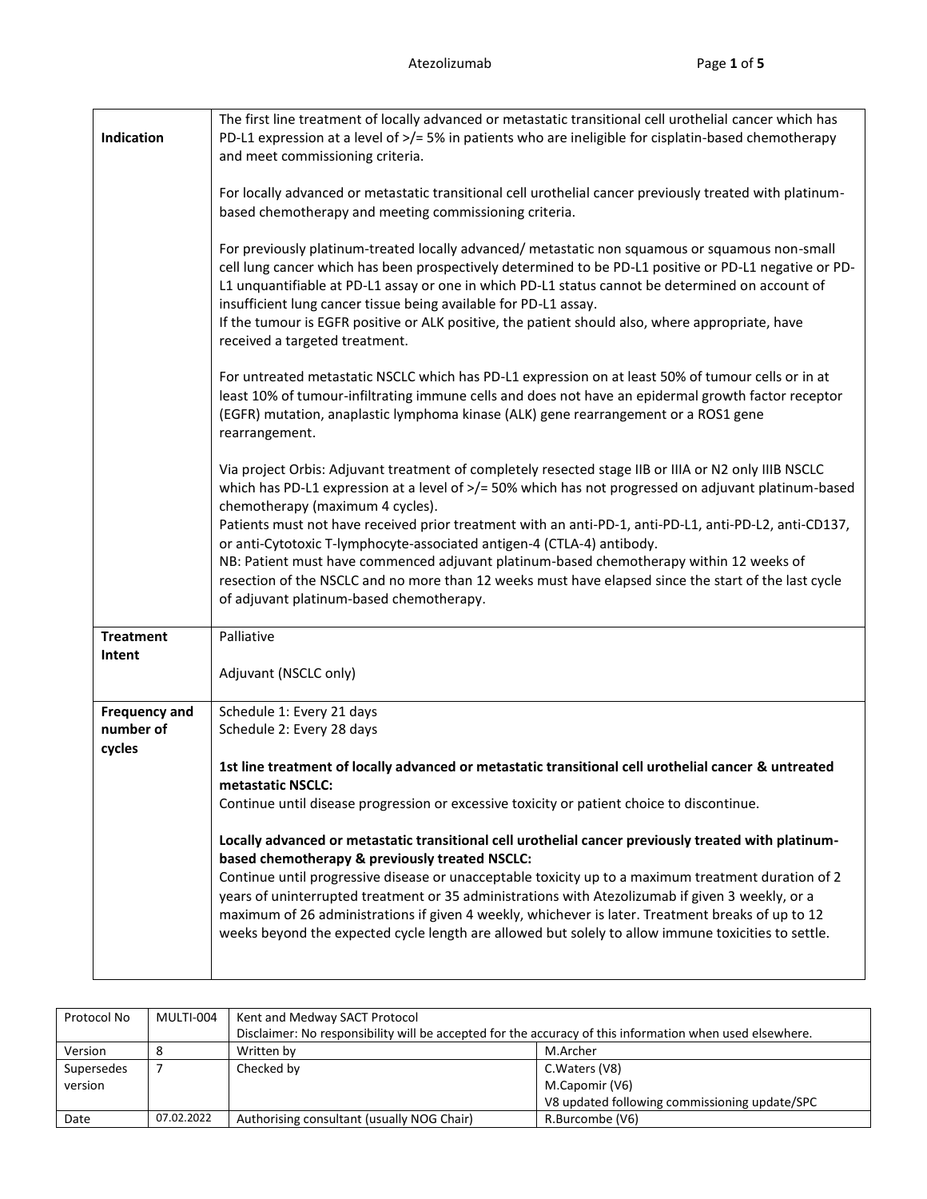| Indication                                  | The first line treatment of locally advanced or metastatic transitional cell urothelial cancer which has<br>PD-L1 expression at a level of >/= 5% in patients who are ineligible for cisplatin-based chemotherapy<br>and meet commissioning criteria.                                                                                                                                                                                                                                                                                                                                                                                                                                                                                                                                                                                                              |
|---------------------------------------------|--------------------------------------------------------------------------------------------------------------------------------------------------------------------------------------------------------------------------------------------------------------------------------------------------------------------------------------------------------------------------------------------------------------------------------------------------------------------------------------------------------------------------------------------------------------------------------------------------------------------------------------------------------------------------------------------------------------------------------------------------------------------------------------------------------------------------------------------------------------------|
|                                             | For locally advanced or metastatic transitional cell urothelial cancer previously treated with platinum-<br>based chemotherapy and meeting commissioning criteria.                                                                                                                                                                                                                                                                                                                                                                                                                                                                                                                                                                                                                                                                                                 |
|                                             | For previously platinum-treated locally advanced/ metastatic non squamous or squamous non-small<br>cell lung cancer which has been prospectively determined to be PD-L1 positive or PD-L1 negative or PD-<br>L1 unquantifiable at PD-L1 assay or one in which PD-L1 status cannot be determined on account of<br>insufficient lung cancer tissue being available for PD-L1 assay.<br>If the tumour is EGFR positive or ALK positive, the patient should also, where appropriate, have<br>received a targeted treatment.                                                                                                                                                                                                                                                                                                                                            |
|                                             | For untreated metastatic NSCLC which has PD-L1 expression on at least 50% of tumour cells or in at<br>least 10% of tumour-infiltrating immune cells and does not have an epidermal growth factor receptor<br>(EGFR) mutation, anaplastic lymphoma kinase (ALK) gene rearrangement or a ROS1 gene<br>rearrangement.                                                                                                                                                                                                                                                                                                                                                                                                                                                                                                                                                 |
|                                             | Via project Orbis: Adjuvant treatment of completely resected stage IIB or IIIA or N2 only IIIB NSCLC<br>which has PD-L1 expression at a level of >/= 50% which has not progressed on adjuvant platinum-based<br>chemotherapy (maximum 4 cycles).<br>Patients must not have received prior treatment with an anti-PD-1, anti-PD-L1, anti-PD-L2, anti-CD137,<br>or anti-Cytotoxic T-lymphocyte-associated antigen-4 (CTLA-4) antibody.<br>NB: Patient must have commenced adjuvant platinum-based chemotherapy within 12 weeks of<br>resection of the NSCLC and no more than 12 weeks must have elapsed since the start of the last cycle<br>of adjuvant platinum-based chemotherapy.                                                                                                                                                                                |
| <b>Treatment</b><br>Intent                  | Palliative<br>Adjuvant (NSCLC only)                                                                                                                                                                                                                                                                                                                                                                                                                                                                                                                                                                                                                                                                                                                                                                                                                                |
| <b>Frequency and</b><br>number of<br>cycles | Schedule 1: Every 21 days<br>Schedule 2: Every 28 days<br>1st line treatment of locally advanced or metastatic transitional cell urothelial cancer & untreated<br>metastatic NSCLC:<br>Continue until disease progression or excessive toxicity or patient choice to discontinue.<br>Locally advanced or metastatic transitional cell urothelial cancer previously treated with platinum-<br>based chemotherapy & previously treated NSCLC:<br>Continue until progressive disease or unacceptable toxicity up to a maximum treatment duration of 2<br>years of uninterrupted treatment or 35 administrations with Atezolizumab if given 3 weekly, or a<br>maximum of 26 administrations if given 4 weekly, whichever is later. Treatment breaks of up to 12<br>weeks beyond the expected cycle length are allowed but solely to allow immune toxicities to settle. |

| Protocol No | MULTI-004  | Kent and Medway SACT Protocol                                                                            |                                               |  |  |
|-------------|------------|----------------------------------------------------------------------------------------------------------|-----------------------------------------------|--|--|
|             |            | Disclaimer: No responsibility will be accepted for the accuracy of this information when used elsewhere. |                                               |  |  |
| Version     |            | M.Archer<br>Written by                                                                                   |                                               |  |  |
| Supersedes  |            | Checked by                                                                                               | C. Waters (V8)                                |  |  |
| version     |            | M.Capomir (V6)                                                                                           |                                               |  |  |
|             |            |                                                                                                          | V8 updated following commissioning update/SPC |  |  |
| Date        | 07.02.2022 | Authorising consultant (usually NOG Chair)<br>R.Burcombe (V6)                                            |                                               |  |  |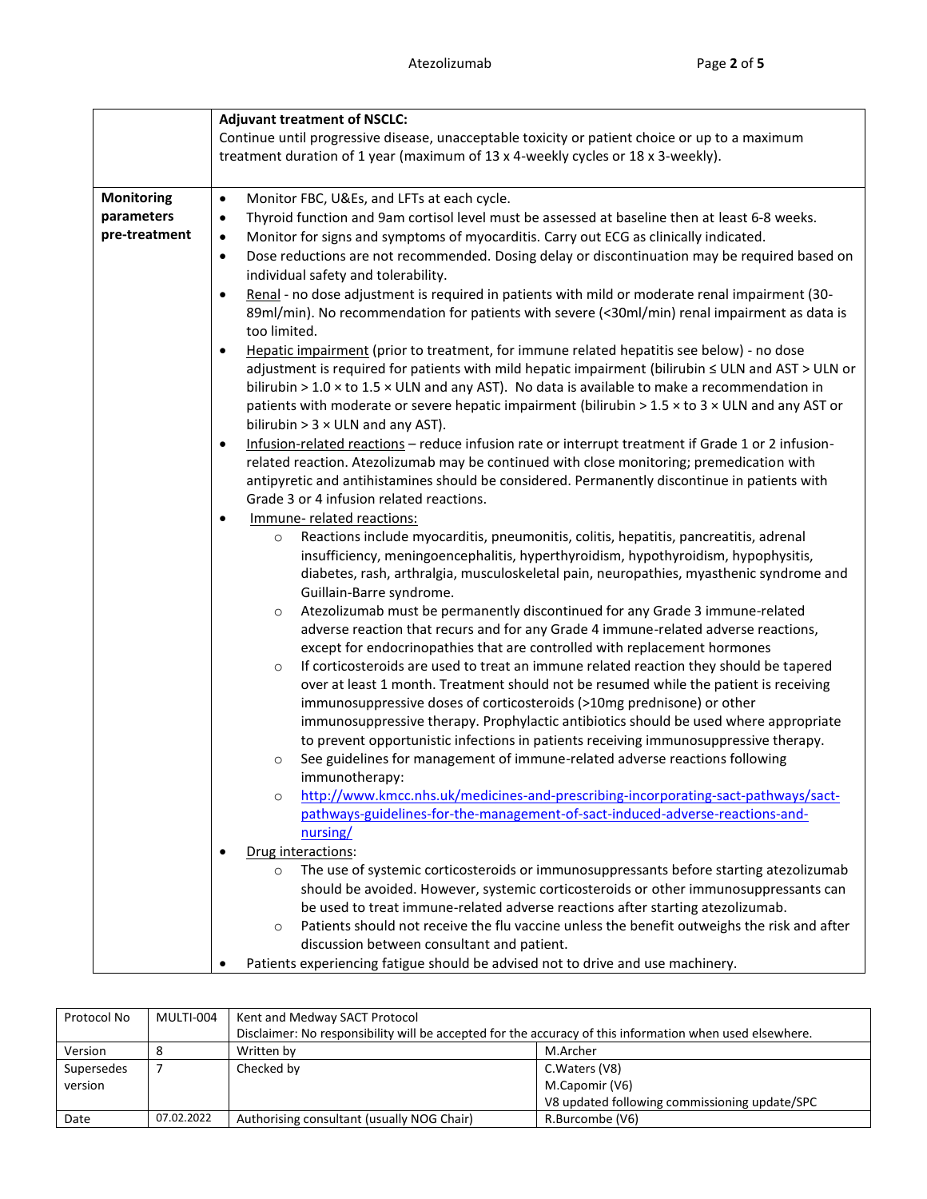|                   | <b>Adjuvant treatment of NSCLC:</b>                                                                                                                  |  |  |  |  |  |
|-------------------|------------------------------------------------------------------------------------------------------------------------------------------------------|--|--|--|--|--|
|                   | Continue until progressive disease, unacceptable toxicity or patient choice or up to a maximum                                                       |  |  |  |  |  |
|                   | treatment duration of 1 year (maximum of 13 x 4-weekly cycles or 18 x 3-weekly).                                                                     |  |  |  |  |  |
|                   |                                                                                                                                                      |  |  |  |  |  |
| <b>Monitoring</b> | Monitor FBC, U&Es, and LFTs at each cycle.<br>$\bullet$                                                                                              |  |  |  |  |  |
| parameters        | Thyroid function and 9am cortisol level must be assessed at baseline then at least 6-8 weeks.<br>$\bullet$                                           |  |  |  |  |  |
| pre-treatment     | $\bullet$                                                                                                                                            |  |  |  |  |  |
|                   | Monitor for signs and symptoms of myocarditis. Carry out ECG as clinically indicated.                                                                |  |  |  |  |  |
|                   | Dose reductions are not recommended. Dosing delay or discontinuation may be required based on<br>$\bullet$<br>individual safety and tolerability.    |  |  |  |  |  |
|                   | Renal - no dose adjustment is required in patients with mild or moderate renal impairment (30-<br>$\bullet$                                          |  |  |  |  |  |
|                   | 89ml/min). No recommendation for patients with severe (<30ml/min) renal impairment as data is                                                        |  |  |  |  |  |
|                   | too limited.                                                                                                                                         |  |  |  |  |  |
|                   | Hepatic impairment (prior to treatment, for immune related hepatitis see below) - no dose<br>$\bullet$                                               |  |  |  |  |  |
|                   |                                                                                                                                                      |  |  |  |  |  |
|                   | adjustment is required for patients with mild hepatic impairment (bilirubin ≤ ULN and AST > ULN or                                                   |  |  |  |  |  |
|                   | bilirubin > $1.0 \times$ to $1.5 \times$ ULN and any AST). No data is available to make a recommendation in                                          |  |  |  |  |  |
|                   | patients with moderate or severe hepatic impairment (bilirubin > 1.5 x to 3 x ULN and any AST or<br>bilirubin $> 3 \times$ ULN and any AST).         |  |  |  |  |  |
|                   | Infusion-related reactions - reduce infusion rate or interrupt treatment if Grade 1 or 2 infusion-<br>$\bullet$                                      |  |  |  |  |  |
|                   | related reaction. Atezolizumab may be continued with close monitoring; premedication with                                                            |  |  |  |  |  |
|                   | antipyretic and antihistamines should be considered. Permanently discontinue in patients with                                                        |  |  |  |  |  |
|                   | Grade 3 or 4 infusion related reactions.                                                                                                             |  |  |  |  |  |
|                   | Immune-related reactions:<br>$\bullet$                                                                                                               |  |  |  |  |  |
|                   | Reactions include myocarditis, pneumonitis, colitis, hepatitis, pancreatitis, adrenal<br>$\circ$                                                     |  |  |  |  |  |
|                   | insufficiency, meningoencephalitis, hyperthyroidism, hypothyroidism, hypophysitis,                                                                   |  |  |  |  |  |
|                   | diabetes, rash, arthralgia, musculoskeletal pain, neuropathies, myasthenic syndrome and                                                              |  |  |  |  |  |
|                   | Guillain-Barre syndrome.                                                                                                                             |  |  |  |  |  |
|                   | Atezolizumab must be permanently discontinued for any Grade 3 immune-related<br>$\circ$                                                              |  |  |  |  |  |
|                   | adverse reaction that recurs and for any Grade 4 immune-related adverse reactions,                                                                   |  |  |  |  |  |
|                   | except for endocrinopathies that are controlled with replacement hormones                                                                            |  |  |  |  |  |
|                   | If corticosteroids are used to treat an immune related reaction they should be tapered<br>$\circ$                                                    |  |  |  |  |  |
|                   | over at least 1 month. Treatment should not be resumed while the patient is receiving                                                                |  |  |  |  |  |
|                   | immunosuppressive doses of corticosteroids (>10mg prednisone) or other                                                                               |  |  |  |  |  |
|                   | immunosuppressive therapy. Prophylactic antibiotics should be used where appropriate                                                                 |  |  |  |  |  |
|                   | to prevent opportunistic infections in patients receiving immunosuppressive therapy.                                                                 |  |  |  |  |  |
|                   | See guidelines for management of immune-related adverse reactions following<br>$\circ$                                                               |  |  |  |  |  |
|                   | immunotherapy:                                                                                                                                       |  |  |  |  |  |
|                   | http://www.kmcc.nhs.uk/medicines-and-prescribing-incorporating-sact-pathways/sact-<br>$\circ$                                                        |  |  |  |  |  |
|                   | pathways-guidelines-for-the-management-of-sact-induced-adverse-reactions-and-                                                                        |  |  |  |  |  |
|                   | nursing/                                                                                                                                             |  |  |  |  |  |
|                   | Drug interactions:                                                                                                                                   |  |  |  |  |  |
|                   | The use of systemic corticosteroids or immunosuppressants before starting atezolizumab                                                               |  |  |  |  |  |
|                   | $\circ$                                                                                                                                              |  |  |  |  |  |
|                   | should be avoided. However, systemic corticosteroids or other immunosuppressants can                                                                 |  |  |  |  |  |
|                   | be used to treat immune-related adverse reactions after starting atezolizumab.                                                                       |  |  |  |  |  |
|                   | Patients should not receive the flu vaccine unless the benefit outweighs the risk and after<br>$\circ$<br>discussion between consultant and patient. |  |  |  |  |  |
|                   |                                                                                                                                                      |  |  |  |  |  |
|                   | Patients experiencing fatigue should be advised not to drive and use machinery.                                                                      |  |  |  |  |  |

| Protocol No | MULTI-004  | Kent and Medway SACT Protocol                                                                            |                                               |  |
|-------------|------------|----------------------------------------------------------------------------------------------------------|-----------------------------------------------|--|
|             |            | Disclaimer: No responsibility will be accepted for the accuracy of this information when used elsewhere. |                                               |  |
| Version     |            | Written by                                                                                               | M.Archer                                      |  |
| Supersedes  |            | Checked by                                                                                               | C. Waters (V8)                                |  |
| version     |            | M.Capomir (V6)                                                                                           |                                               |  |
|             |            |                                                                                                          | V8 updated following commissioning update/SPC |  |
| Date        | 07.02.2022 | Authorising consultant (usually NOG Chair)                                                               | R.Burcombe (V6)                               |  |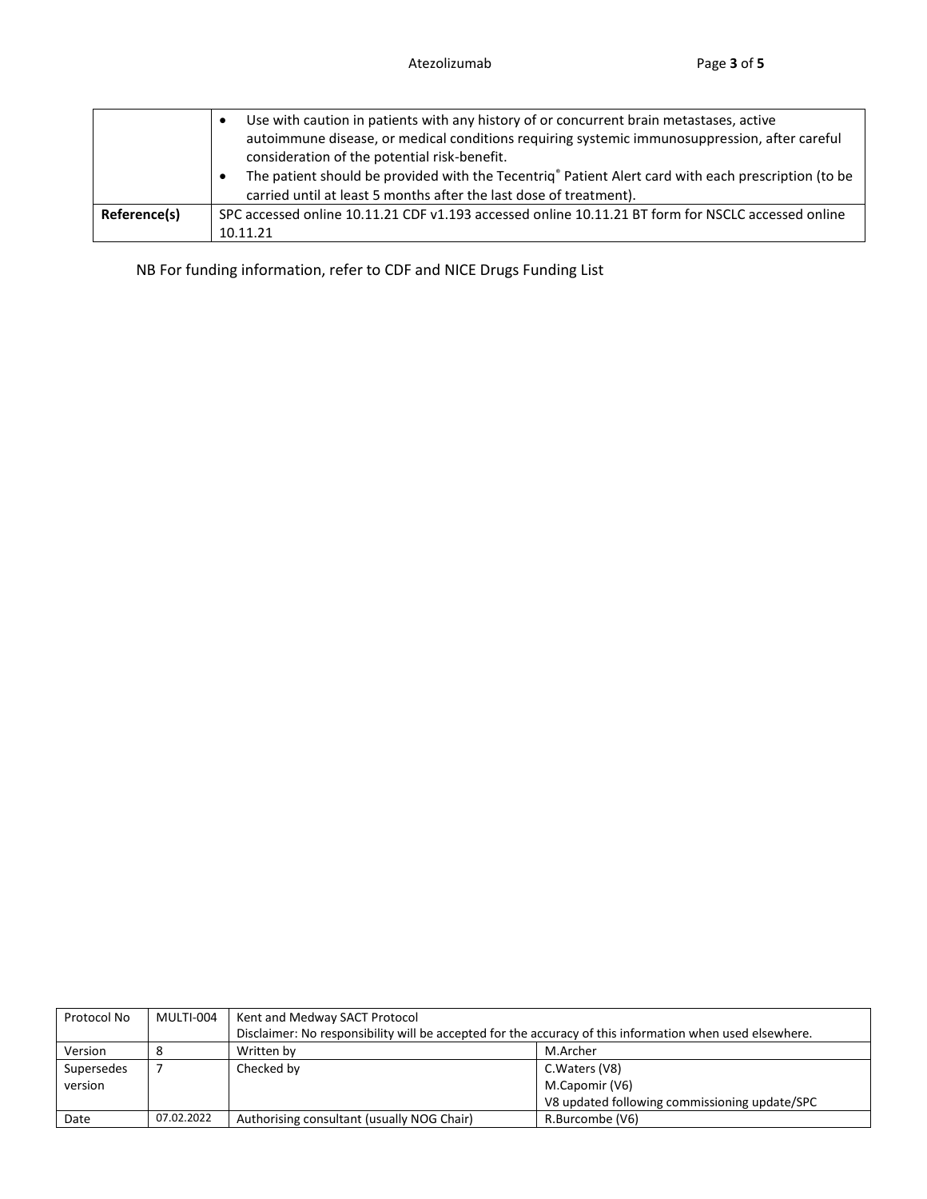|              | Use with caution in patients with any history of or concurrent brain metastases, active<br>autoimmune disease, or medical conditions requiring systemic immunosuppression, after careful<br>consideration of the potential risk-benefit.<br>The patient should be provided with the Tecentriq® Patient Alert card with each prescription (to be<br>carried until at least 5 months after the last dose of treatment). |
|--------------|-----------------------------------------------------------------------------------------------------------------------------------------------------------------------------------------------------------------------------------------------------------------------------------------------------------------------------------------------------------------------------------------------------------------------|
| Reference(s) | SPC accessed online 10.11.21 CDF v1.193 accessed online 10.11.21 BT form for NSCLC accessed online                                                                                                                                                                                                                                                                                                                    |
|              | 10.11.21                                                                                                                                                                                                                                                                                                                                                                                                              |

NB For funding information, refer to CDF and NICE Drugs Funding List

| Protocol No | MULTI-004  | Kent and Medway SACT Protocol                                                                            |                 |  |  |
|-------------|------------|----------------------------------------------------------------------------------------------------------|-----------------|--|--|
|             |            | Disclaimer: No responsibility will be accepted for the accuracy of this information when used elsewhere. |                 |  |  |
| Version     |            | M.Archer<br>Written by                                                                                   |                 |  |  |
| Supersedes  |            | Checked by                                                                                               | C. Waters (V8)  |  |  |
| version     |            | M.Capomir (V6)                                                                                           |                 |  |  |
|             |            | V8 updated following commissioning update/SPC                                                            |                 |  |  |
| Date        | 07.02.2022 | Authorising consultant (usually NOG Chair)                                                               | R.Burcombe (V6) |  |  |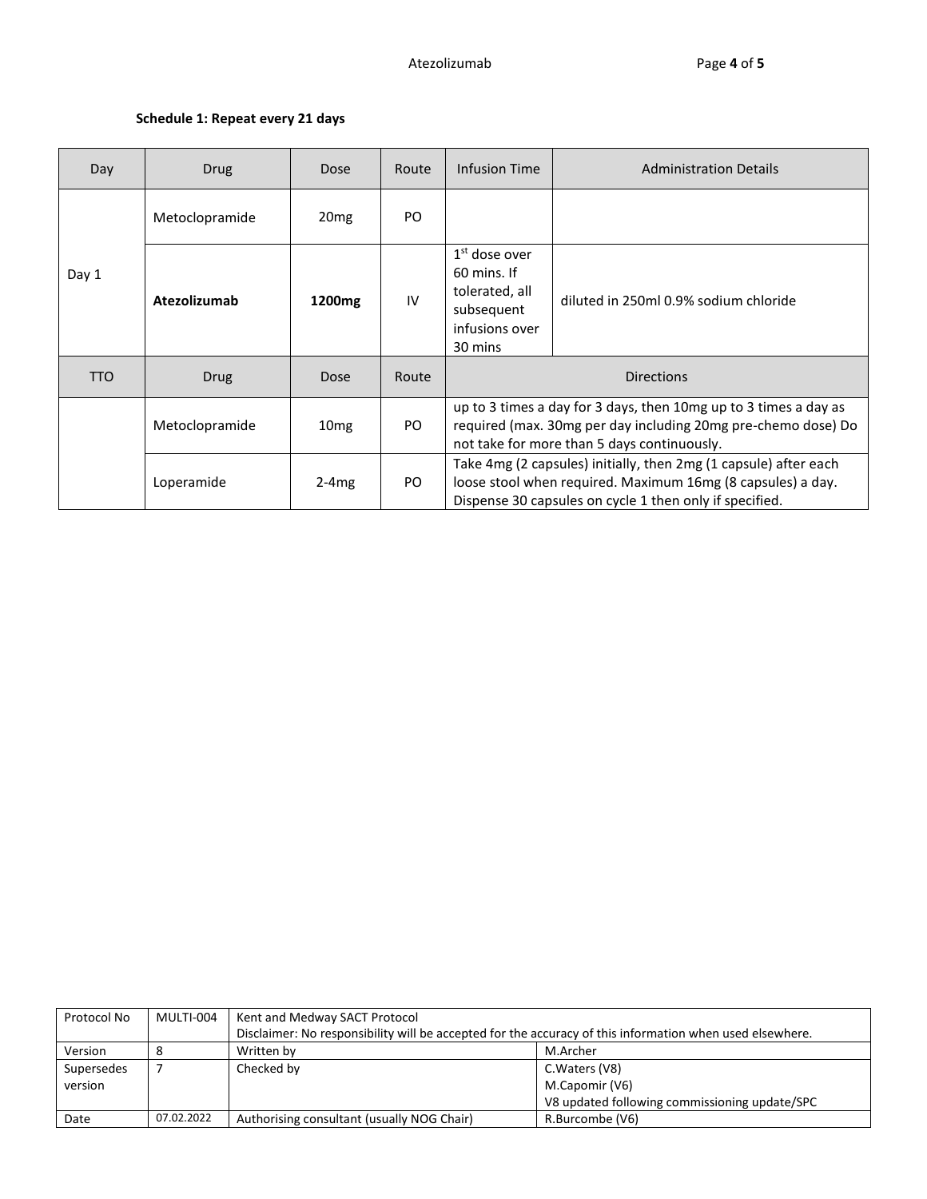## **Schedule 1: Repeat every 21 days**

| Day   | <b>Drug</b>    | Dose               | Route | Infusion Time                                                                                                                                                                              | <b>Administration Details</b>         |  |
|-------|----------------|--------------------|-------|--------------------------------------------------------------------------------------------------------------------------------------------------------------------------------------------|---------------------------------------|--|
|       | Metoclopramide | 20 <sub>mg</sub>   | PO.   |                                                                                                                                                                                            |                                       |  |
| Day 1 | Atezolizumab   | 1200 <sub>mg</sub> | IV    | $1st$ dose over<br>60 mins. If<br>tolerated, all<br>subsequent<br>infusions over<br>30 mins                                                                                                | diluted in 250ml 0.9% sodium chloride |  |
| TTO   | Drug           | Dose               | Route | <b>Directions</b>                                                                                                                                                                          |                                       |  |
|       | Metoclopramide | 10 <sub>mg</sub>   | PO.   | up to 3 times a day for 3 days, then 10mg up to 3 times a day as<br>required (max. 30mg per day including 20mg pre-chemo dose) Do<br>not take for more than 5 days continuously.           |                                       |  |
|       | Loperamide     | $2-4mg$            | PO.   | Take 4mg (2 capsules) initially, then 2mg (1 capsule) after each<br>loose stool when required. Maximum 16mg (8 capsules) a day.<br>Dispense 30 capsules on cycle 1 then only if specified. |                                       |  |

| Protocol No | MULTI-004  | Kent and Medway SACT Protocol                                                                            |                 |  |  |
|-------------|------------|----------------------------------------------------------------------------------------------------------|-----------------|--|--|
|             |            | Disclaimer: No responsibility will be accepted for the accuracy of this information when used elsewhere. |                 |  |  |
| Version     |            | M.Archer<br>Written by                                                                                   |                 |  |  |
| Supersedes  |            | Checked by                                                                                               | C. Waters (V8)  |  |  |
| version     |            | M.Capomir (V6)                                                                                           |                 |  |  |
|             |            | V8 updated following commissioning update/SPC                                                            |                 |  |  |
| Date        | 07.02.2022 | Authorising consultant (usually NOG Chair)                                                               | R.Burcombe (V6) |  |  |